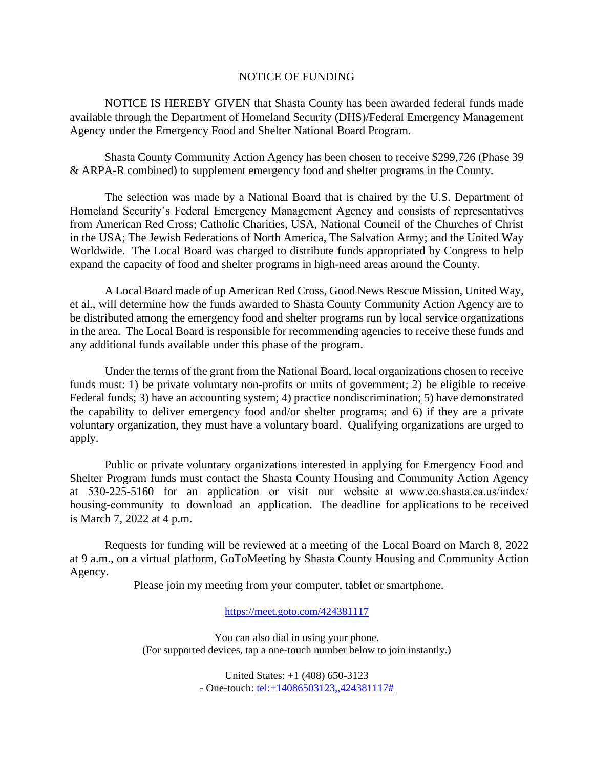## NOTICE OF FUNDING

NOTICE IS HEREBY GIVEN that Shasta County has been awarded federal funds made available through the Department of Homeland Security (DHS)/Federal Emergency Management Agency under the Emergency Food and Shelter National Board Program.

Shasta County Community Action Agency has been chosen to receive \$299,726 (Phase 39 & ARPA-R combined) to supplement emergency food and shelter programs in the County.

The selection was made by a National Board that is chaired by the U.S. Department of Homeland Security's Federal Emergency Management Agency and consists of representatives from American Red Cross; Catholic Charities, USA, National Council of the Churches of Christ in the USA; The Jewish Federations of North America, The Salvation Army; and the United Way Worldwide. The Local Board was charged to distribute funds appropriated by Congress to help expand the capacity of food and shelter programs in high-need areas around the County.

A Local Board made of up American Red Cross, Good News Rescue Mission, United Way, et al., will determine how the funds awarded to Shasta County Community Action Agency are to be distributed among the emergency food and shelter programs run by local service organizations in the area. The Local Board is responsible for recommending agencies to receive these funds and any additional funds available under this phase of the program.

Under the terms of the grant from the National Board, local organizations chosen to receive funds must: 1) be private voluntary non-profits or units of government; 2) be eligible to receive Federal funds; 3) have an accounting system; 4) practice nondiscrimination; 5) have demonstrated the capability to deliver emergency food and/or shelter programs; and 6) if they are a private voluntary organization, they must have a voluntary board. Qualifying organizations are urged to apply.

Public or private voluntary organizations interested in applying for Emergency Food and Shelter Program funds must contact the Shasta County Housing and Community Action Agency at 530-225-5160 for an application or visit our website at www.co.shasta.ca.us/index/ housing-community to download an application. The [deadline for applications to be received](https://www.co.shasta.ca.us/index/housing-community) is March 7, 2022 at 4 p.m.

Requests for funding will be reviewed at a meeting of the Local Board on March 8, 2022 at 9 a.m., on a virtual platform, GoToMeeting by Shasta County Housing and Community Action Agency.

Please join my meeting from your computer, tablet or smartphone.

## <https://meet.goto.com/424381117>

You can also dial in using your phone. (For supported devices, tap a one-touch number below to join instantly.)

> United States: +1 (408) 650-3123 - One-touch: [tel:+14086503123,,424381117#](tel:+14086503123,,424381117)